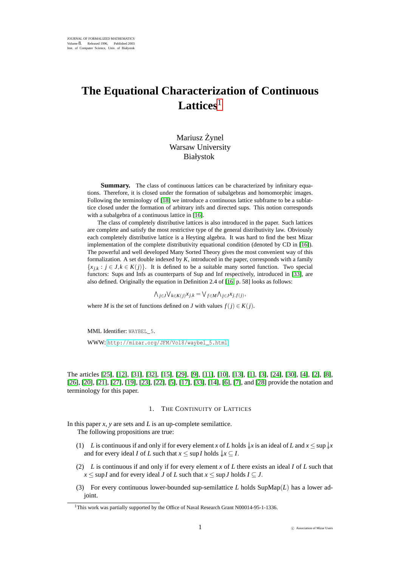# **The Equational Characterization of Continuous Lattices**<sup>1</sup>

# Mariusz Zynel ˙ Warsaw University Białystok

**Summary.** The class of continuous lattices can be characterized by infinitary equations. Therefore, it is closed under the formation of subalgebras and homomorphic images. Following the terminology of [\[18\]](#page-4-0) we introduce a continuous lattice subframe to be a sublattice closed under the formation of arbitrary infs and directed sups. This notion corresponds with a subalgebra of a continuous lattice in [\[16\]](#page-4-1).

The class of completely distributive lattices is also introduced in the paper. Such lattices are complete and satisfy the most restrictive type of the general distributivity law. Obviously each completely distributive lattice is a Heyting algebra. It was hard to find the best Mizar implementation of the complete distributivity equational condition (denoted by CD in [\[16\]](#page-4-1)). The powerful and well developed Many Sorted Theory gives the most convenient way of this formalization. A set double indexed by *K*, introduced in the paper, corresponds with a family  ${x_{j,k} : j \in J, k \in K(j)}$ . It is defined to be a suitable many sorted function. Two special functors: Sups and Infs as counterparts of Sup and Inf respectively, introduced in [\[33\]](#page-5-0), are also defined. Originally the equation in Definition 2.4 of [\[16,](#page-4-1) p. 58] looks as follows:

 $\bigwedge_{j\in J}\bigvee_{k\in K(j)}x_{j,k} = \bigvee_{f\in M}\bigwedge_{j\in J}x_{j,f(j)},$ 

where *M* is the set of functions defined on *J* with values  $f(j) \in K(j)$ .

MML Identifier: WAYBEL 5.

WWW: [http://mizar.org/JFM/Vol8/waybel\\_5.html](http://mizar.org/JFM/Vol8/waybel_5.html)

The articles [\[25\]](#page-5-1), [\[12\]](#page-4-2), [\[31\]](#page-5-2), [\[32\]](#page-5-3), [\[15\]](#page-4-3), [\[29\]](#page-5-4), [\[9\]](#page-4-4), [\[11\]](#page-4-5), [\[10\]](#page-4-6), [\[13\]](#page-4-7), [\[1\]](#page-4-8), [\[3\]](#page-4-9), [\[24\]](#page-5-5), [\[30\]](#page-5-6), [\[4\]](#page-4-10), [\[2\]](#page-4-11), [\[8\]](#page-4-12), [\[26\]](#page-5-7), [\[20\]](#page-4-13), [\[21\]](#page-4-14), [\[27\]](#page-5-8), [\[19\]](#page-4-15), [\[23\]](#page-5-9), [\[22\]](#page-5-10), [\[5\]](#page-4-16), [\[17\]](#page-4-17), [\[33\]](#page-5-0), [\[14\]](#page-4-18), [\[6\]](#page-4-19), [\[7\]](#page-4-20), and [\[28\]](#page-5-11) provide the notation and terminology for this paper.

# 1. THE CONTINUITY OF LATTICES

In this paper *x*, *y* are sets and *L* is an up-complete semilattice. The following propositions are true:

- (1) *L* is continuous if and only if for every element *x* of *L* holds  $\downarrow x$  is an ideal of *L* and  $x \le \sup \downarrow x$ and for every ideal *I* of *L* such that  $x \leq \sup I$  holds  $\downarrow x \subseteq I$ .
- (2) *L* is continuous if and only if for every element *x* of *L* there exists an ideal *I* of *L* such that  $x \leq \sup I$  and for every ideal *J* of *L* such that  $x \leq \sup J$  holds  $I \subseteq J$ .
- (3) For every continuous lower-bounded sup-semilattice *L* holds SupMap(*L*) has a lower adjoint.

<sup>&</sup>lt;sup>1</sup>This work was partially supported by the Office of Naval Research Grant N00014-95-1-1336.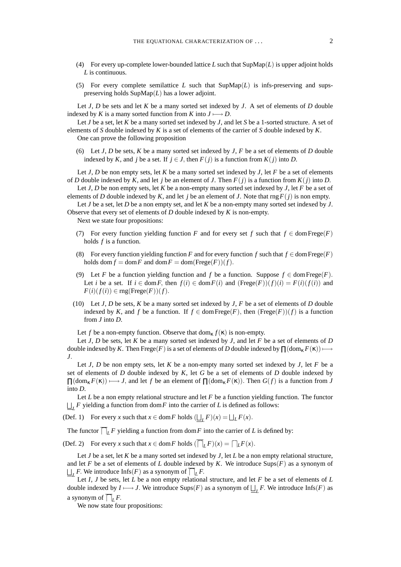- (4) For every up-complete lower-bounded lattice *L* such that SupMap(*L*) is upper adjoint holds *L* is continuous.
- (5) For every complete semilattice  $L$  such that  $\text{SupMap}(L)$  is infs-preserving and supspreserving holds SupMap(*L*) has a lower adjoint.

Let *J*, *D* be sets and let *K* be a many sorted set indexed by *J*. A set of elements of *D* double indexed by *K* is a many sorted function from *K* into  $J \rightarrow D$ .

Let *J* be a set, let *K* be a many sorted set indexed by *J*, and let *S* be a 1-sorted structure. A set of elements of *S* double indexed by *K* is a set of elements of the carrier of *S* double indexed by *K*. One can prove the following proposition

(6) Let  $J$ ,  $D$  be sets,  $K$  be a many sorted set indexed by  $J$ ,  $F$  be a set of elements of  $D$  double indexed by *K*, and *j* be a set. If  $j \in J$ , then  $F(j)$  is a function from  $K(j)$  into *D*.

Let *J*, *D* be non empty sets, let *K* be a many sorted set indexed by *J*, let *F* be a set of elements of *D* double indexed by *K*, and let *j* be an element of *J*. Then  $F(j)$  is a function from  $K(j)$  into *D*.

Let *J*, *D* be non empty sets, let *K* be a non-empty many sorted set indexed by *J*, let *F* be a set of elements of *D* double indexed by *K*, and let *j* be an element of *J*. Note that rng  $F(j)$  is non empty.

Let *J* be a set, let *D* be a non empty set, and let *K* be a non-empty many sorted set indexed by *J*. Observe that every set of elements of *D* double indexed by *K* is non-empty.

Next we state four propositions:

- (7) For every function yielding function *F* and for every set *f* such that  $f \in \text{dom} \text{Free}(F)$ holds *f* is a function.
- (8) For every function yielding function *F* and for every function *f* such that  $f \in \text{dom Frege}(F)$ holds dom  $f = \text{dom } F$  and  $\text{dom } F = \text{dom}(\text{Free}(F))(f)$ .
- (9) Let *F* be a function yielding function and *f* be a function. Suppose  $f \in \text{dom} \text{Free}(F)$ . Let *i* be a set. If  $i \in \text{dom } F$ , then  $f(i) \in \text{dom } F(i)$  and  $(\text{Free}(F))(f)(i) = F(i)(f(i))$  and  $F(i)(f(i)) \in \text{rng}(\text{Free}(F))(f).$
- (10) Let *J*, *D* be sets, *K* be a many sorted set indexed by *J*, *F* be a set of elements of *D* double indexed by *K*, and *f* be a function. If  $f \in \text{dom} \text{Free}(F)$ , then  $(\text{Free}(F))(f)$  is a function from *J* into *D*.

Let *f* be a non-empty function. Observe that  $dom_{\kappa} f(\kappa)$  is non-empty.

Let *J*, *D* be sets, let *K* be a many sorted set indexed by *J*, and let *F* be a set of elements of *D* double indexed by *K*. Then Frege(*F*) is a set of elements of *D* double indexed by  $\prod (\text{dom}_{\kappa} F(\kappa)) \longmapsto$ *J*.

Let *J*, *D* be non empty sets, let *K* be a non-empty many sorted set indexed by *J*, let *F* be a set of elements of *D* double indexed by *K*, let *G* be a set of elements of *D* double indexed by  $\Pi(\text{dom}_{\kappa} F(\kappa)) \longmapsto J$ , and let *f* be an element of  $\Pi(\text{dom}_{\kappa} F(\kappa))$ . Then  $G(f)$  is a function from *J* into *D*.

Let *L* be a non empty relational structure and let *F* be a function yielding function. The functor  $L_L$  *F* yielding a function from dom *F* into the carrier of *L* is defined as follows:

(Def. 1) For every *x* such that  $x \in \text{dom } F$  holds  $(\underline{\sqcup_L} F)(x) = \sqcup_L F(x)$ .

The functor  $\overline{\bigcap}_L F$  yielding a function from dom *F* into the carrier of *L* is defined by:

(Def. 2) For every *x* such that  $x \in \text{dom } F$  holds  $(\overline{\bigcap}_L F)(x) = \bigcap_L F(x)$ .

Let *J* be a set, let *K* be a many sorted set indexed by *J*, let *L* be a non empty relational structure, and let *F* be a set of elements of *L* double indexed by *K*. We introduce  $\text{Sups}(F)$  as a synonym of  $L$  **F**. We introduce  $\text{Infs}(F)$  as a synonym of  $\overline{\bigcap}_L F$ .

Let *I*, *J* be sets, let *L* be a non empty relational structure, and let *F* be a set of elements of *L* double indexed by *I* ⊢→ *J*. We introduce Sups(*F*) as a synonym of  $L$ <sub>*L*</sub>*F*. We introduce Infs(*F*) as a synonym of  $\overline{\bigcap}_L F$ .

We now state four propositions: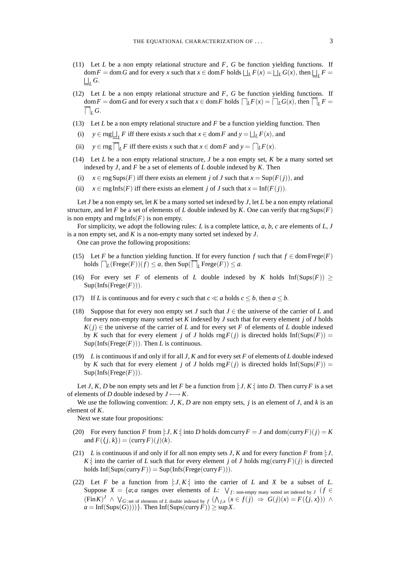- (11) Let *L* be a non empty relational structure and *F*, *G* be function yielding functions. If  $\dim F = \dim G$  and for every *x* such that  $x \in \dim F$  holds  $\Box_L F(x) = \Box_L G(x)$ , then  $\Box_L F =$  $\bigsqcup_{L} G.$
- (12) Let *L* be a non empty relational structure and *F*, *G* be function yielding functions. If  $\frac{d}{dx}$  = dom *G* and for every *x* such that  $x \in \text{dom } F$  holds  $\bigcap_{L} F(x) = \bigcap_{L} G(x)$ , then  $\bigcap_{L} F =$  $\overline{\bigcap}_L G$ .
- (13) Let *L* be a non empty relational structure and *F* be a function yielding function. Then
- (i) *y* ∈ rng $\bigsqcup_{L} F$  iff there exists *x* such that *x* ∈ dom *F* and *y* =  $\bigsqcup_{L} F(x)$ , and
- (ii)  $y \in \text{rng}\overline{\bigcap}_{L}F$  iff there exists *x* such that  $x \in \text{dom} F$  and  $y = \bigcap_{L}F(x)$ .
- (14) Let *L* be a non empty relational structure, *J* be a non empty set, *K* be a many sorted set indexed by *J*, and *F* be a set of elements of *L* double indexed by *K*. Then
- (i)  $x \in \text{rngSups}(F)$  iff there exists an element *j* of *J* such that  $x = \text{Sup}(F(j))$ , and
- (ii)  $x \in \text{rng}\text{Inf}(F)$  iff there exists an element *j* of *J* such that  $x = \text{Inf}(F(j))$ .

Let *J* be a non empty set, let *K* be a many sorted set indexed by *J*, let *L* be a non empty relational structure, and let *F* be a set of elements of *L* double indexed by *K*. One can verify that  $\text{rng Sups}(F)$ is non empty and  $\text{rng}\text{Infs}(F)$  is non empty.

For simplicity, we adopt the following rules: *L* is a complete lattice, *a*, *b*, *c* are elements of *L*, *J* is a non empty set, and *K* is a non-empty many sorted set indexed by *J*.

One can prove the following propositions:

- (15) Let *F* be a function yielding function. If for every function *f* such that  $f \in \text{dom} \text{Free}(F)$  $\text{holds} \bigcap_{L} (\text{Free}(F))(f) \leq a$ , then  $\text{Sup}(\bigcap_{L} \text{Free}(F)) \leq a$ .
- (16) For every set *F* of elements of *L* double indexed by *K* holds  $\text{Inf}(\text{Sups}(F)) \ge$  $Sup(Infs(Frege(F)))$ .
- (17) If *L* is continuous and for every *c* such that  $c \ll a$  holds  $c \leq b$ , then  $a \leq b$ .
- (18) Suppose that for every non empty set *J* such that  $J \in$  the universe of the carrier of *L* and for every non-empty many sorted set *K* indexed by *J* such that for every element *j* of *J* holds  $K(j) \in$  the universe of the carrier of *L* and for every set *F* of elements of *L* double indexed by *K* such that for every element *j* of *J* holds  $\text{rng } F(j)$  is directed holds  $\text{Inf}(\text{Sups}(F)) =$  $Sup(Infs(Frege(F)))$ . Then *L* is continuous.
- (19) *L* is continuous if and only if for all *J*, *K* and for every set *F* of elements of *L* double indexed by *K* such that for every element *j* of *J* holds  $\text{rng } F(j)$  is directed holds  $\text{Inf}(\text{Sups}(F)) =$  $Sup(Infs(Frege(F)))$ .

Let *J*, *K*, *D* be non empty sets and let *F* be a function from [: *J*, *K*:] into *D*. Then curry *F* is a set of elements of *D* double indexed by  $J \longmapsto K$ .

We use the following convention:  $J$ ,  $K$ ,  $D$  are non empty sets,  $j$  is an element of  $J$ , and  $k$  is an element of *K*.

Next we state four propositions:

- (20) For every function *F* from [: *J*, *K*:] into *D* holds domcurry  $F = J$  and dom(curry  $F$ )( $j$ ) = *K* and  $F(\langle j, k \rangle) = (\text{curry } F)(j)(k)$ .
- (21) *L* is continuous if and only if for all non empty sets *J*, *K* and for every function *F* from [: *J*, *K*: into the carrier of *L* such that for every element *j* of *J* holds  $\text{rng}(\text{curry}\,F)(j)$  is directed holds  $Inf(Sups(carry F)) = Sup(Infs(Frege(curr F))).$
- (22) Let *F* be a function from  $\exists J, K$ : into the carrier of *L* and *X* be a subset of *L*. Suppose  $X = \{a; a$  ranges over elements of *L*:  $\bigvee_{f \colon \text{non-empty many sorted set indexed by J}} (f \in$  $(\text{Fin } K)^J \ \wedge \ \vee_G$ :set of elements of *L* double indexed by  $f \ (\wedge_{j,x} (x \in f(j) \ \Rightarrow \ G(j)(x) = F(\langle j,x \rangle)) \ \wedge$  $a = \text{Inf}(\text{Sups}(G))))$ . Then  $\text{Inf}(\text{Sups}(\text{curry} F)) \ge \text{sup} X$ .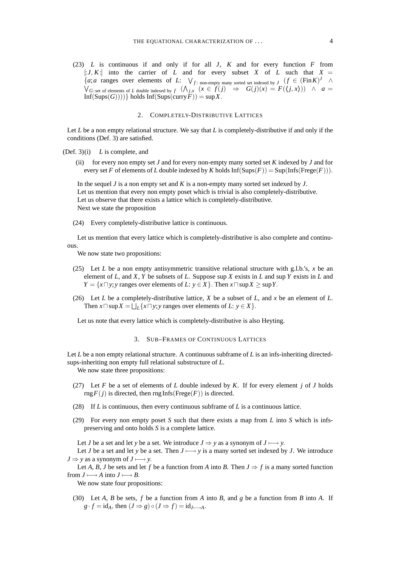(23) *L* is continuous if and only if for all *J*, *K* and for every function *F* from  $\lfloor t \cdot J, K \rfloor$  into the carrier of *L* and for every subset *X* of *L* such that  $X =$  ${a; a \text{ ranges over elements of } L: \forall_{f: \text{ non-empty many sorted set indexed by } J \ (f \in (\text{Fin } K)^J \ \land \}$  $\bigvee$  *G*: set of elements of *L* double indexed by  $f$   $(\bigwedge_{j,x} (x \in f(j) \Rightarrow G(j)(x) = F(\langle j,x \rangle)) \land a =$  $Inf(Sups(G))))$ } holds  $Inf(Sups(carry F)) = sup X$ .

## 2. COMPLETELY-DISTRIBUTIVE LATTICES

Let *L* be a non empty relational structure. We say that *L* is completely-distributive if and only if the conditions (Def. 3) are satisfied.

- (Def. 3)(i) *L* is complete, and
	- (ii) for every non empty set  $J$  and for every non-empty many sorted set  $K$  indexed by  $J$  and for every set *F* of elements of *L* double indexed by *K* holds  $Inf(Sups(F)) = Sup(Infs(Frege(F)))$ .

In the sequel *J* is a non empty set and *K* is a non-empty many sorted set indexed by *J*. Let us mention that every non empty poset which is trivial is also completely-distributive. Let us observe that there exists a lattice which is completely-distributive. Next we state the proposition

(24) Every completely-distributive lattice is continuous.

Let us mention that every lattice which is completely-distributive is also complete and continuous.

We now state two propositions:

- (25) Let *L* be a non empty antisymmetric transitive relational structure with g.l.b.'s,  $x$  be an element of *L*, and *X*, *Y* be subsets of *L*. Suppose sup *X* exists in *L* and sup *Y* exists in *L* and *Y* =  $\{x \sqcap y; y \text{ ranges over elements of } L: y \in X\}$ . Then  $x \sqcap \text{sup} X \ge \text{sup} Y$ .
- (26) Let *L* be a completely-distributive lattice, *X* be a subset of *L*, and *x* be an element of *L*. Then  $x \sqcap \sup X = \bigsqcup_L \{x \sqcap y; y \text{ ranges over elements of } L: y \in X\}.$

Let us note that every lattice which is completely-distributive is also Heyting.

### 3. SUB–FRAMES OF CONTINUOUS LATTICES

Let *L* be a non empty relational structure. A continuous subframe of *L* is an infs-inheriting directedsups-inheriting non empty full relational substructure of *L*.

We now state three propositions:

- (27) Let *F* be a set of elements of *L* double indexed by *K*. If for every element *j* of *J* holds  $\text{rng } F(j)$  is directed, then  $\text{rng}\text{Infs}(\text{Free}(F))$  is directed.
- (28) If *L* is continuous, then every continuous subframe of *L* is a continuous lattice.
- (29) For every non empty poset *S* such that there exists a map from *L* into *S* which is infspreserving and onto holds *S* is a complete lattice.

Let *J* be a set and let *y* be a set. We introduce  $J \Rightarrow y$  as a synonym of  $J \longmapsto y$ .

Let *J* be a set and let *y* be a set. Then  $J \mapsto y$  is a many sorted set indexed by *J*. We introduce  $J \Rightarrow y$  as a synonym of  $J \longmapsto y$ .

Let *A*, *B*, *J* be sets and let *f* be a function from *A* into *B*. Then  $J \Rightarrow f$  is a many sorted function from  $J \longmapsto A$  into  $J \longmapsto B$ .

We now state four propositions:

(30) Let *A*, *B* be sets, *f* be a function from *A* into *B*, and *g* be a function from *B* into *A*. If  $g \cdot f = id_A$ , then  $(J \Rightarrow g) \circ (J \Rightarrow f) = id_{J \longmapsto A}$ .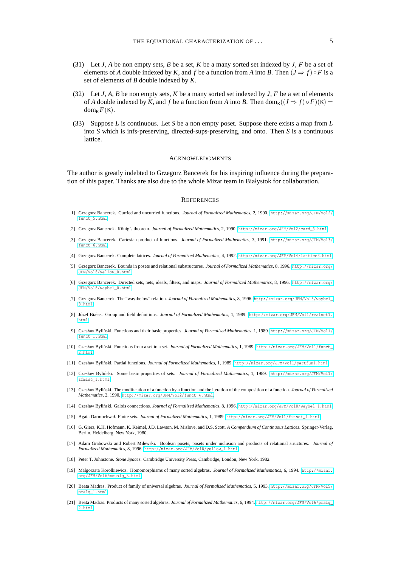- (31) Let *J*, *A* be non empty sets, *B* be a set, *K* be a many sorted set indexed by *J*, *F* be a set of elements of *A* double indexed by *K*, and *f* be a function from *A* into *B*. Then  $(J \Rightarrow f) \circ F$  is a set of elements of *B* double indexed by *K*.
- (32) Let *J*, *A*, *B* be non empty sets, *K* be a many sorted set indexed by *J*, *F* be a set of elements of *A* double indexed by *K*, and *f* be a function from *A* into *B*. Then dom<sub>s</sub> $((J \Rightarrow f) \circ F)(\kappa) =$ dom<sup>κ</sup> *F*(κ).
- (33) Suppose *L* is continuous. Let *S* be a non empty poset. Suppose there exists a map from *L* into *S* which is infs-preserving, directed-sups-preserving, and onto. Then *S* is a continuous lattice.

#### ACKNOWLEDGMENTS

The author is greatly indebted to Grzegorz Bancerek for his inspiring influence during the preparation of this paper. Thanks are also due to the whole Mizar team in Białystok for collaboration.

#### **REFERENCES**

- <span id="page-4-8"></span>[1] Grzegorz Bancerek. Curried and uncurried functions. *Journal of Formalized Mathematics*, 2, 1990. [http://mizar.org/JFM/Vol2/](http://mizar.org/JFM/Vol2/funct_5.html) [funct\\_5.html](http://mizar.org/JFM/Vol2/funct_5.html).
- <span id="page-4-11"></span>[2] Grzegorz Bancerek. König's theorem. *Journal of Formalized Mathematics*, 2, 1990. [http://mizar.org/JFM/Vol2/card\\_3.html](http://mizar.org/JFM/Vol2/card_3.html).
- <span id="page-4-9"></span>[3] Grzegorz Bancerek. Cartesian product of functions. *Journal of Formalized Mathematics*, 3, 1991. [http://mizar.org/JFM/Vol3/](http://mizar.org/JFM/Vol3/funct_6.html) [funct\\_6.html](http://mizar.org/JFM/Vol3/funct_6.html).
- <span id="page-4-10"></span>[4] Grzegorz Bancerek. Complete lattices. *Journal of Formalized Mathematics*, 4, 1992. <http://mizar.org/JFM/Vol4/lattice3.html>.
- <span id="page-4-16"></span>[5] Grzegorz Bancerek. Bounds in posets and relational substructures. *Journal of Formalized Mathematics*, 8, 1996. [http://mizar.org/](http://mizar.org/JFM/Vol8/yellow_0.html) [JFM/Vol8/yellow\\_0.html](http://mizar.org/JFM/Vol8/yellow_0.html).
- <span id="page-4-19"></span>[6] Grzegorz Bancerek. Directed sets, nets, ideals, filters, and maps. *Journal of Formalized Mathematics*, 8, 1996. [http://mizar.org/](http://mizar.org/JFM/Vol8/waybel_0.html) [JFM/Vol8/waybel\\_0.html](http://mizar.org/JFM/Vol8/waybel_0.html).
- <span id="page-4-20"></span>[7] Grzegorz Bancerek. The "way-below" relation. *Journal of Formalized Mathematics*, 8, 1996. [http://mizar.org/JFM/Vol8/waybel\\_](http://mizar.org/JFM/Vol8/waybel_3.html) [3.html](http://mizar.org/JFM/Vol8/waybel_3.html).
- <span id="page-4-12"></span>[8] Józef Białas. Group and field definitions. *Journal of Formalized Mathematics*, 1, 1989. [http://mizar.org/JFM/Vol1/realset1.](http://mizar.org/JFM/Vol1/realset1.html) [html](http://mizar.org/JFM/Vol1/realset1.html).
- <span id="page-4-4"></span>[9] Czesław Bylinski. Functions and their basic properties. ´ *Journal of Formalized Mathematics*, 1, 1989. [http://mizar.org/JFM/Vol1/](http://mizar.org/JFM/Vol1/funct_1.html) [funct\\_1.html](http://mizar.org/JFM/Vol1/funct_1.html).
- <span id="page-4-6"></span>[10] Czesław Bylinski. Functions from a set to a set. ´ *Journal of Formalized Mathematics*, 1, 1989. [http://mizar.org/JFM/Vol1/funct\\_](http://mizar.org/JFM/Vol1/funct_2.html) [2.html](http://mizar.org/JFM/Vol1/funct_2.html).
- <span id="page-4-5"></span>[11] Czesław Byliński. Partial functions. *Journal of Formalized Mathematics*, 1, 1989. <http://mizar.org/JFM/Vol1/partfun1.html>.
- <span id="page-4-2"></span>[12] Czesław Bylinski. Some basic properties of sets. ´ *Journal of Formalized Mathematics*, 1, 1989. [http://mizar.org/JFM/Vol1/](http://mizar.org/JFM/Vol1/zfmisc_1.html) [zfmisc\\_1.html](http://mizar.org/JFM/Vol1/zfmisc_1.html).
- <span id="page-4-7"></span>[13] Czesław Bylinski. The modification of a function by a function and the iteration of the composition of a function. ´ *Journal of Formalized Mathematics*, 2, 1990. [http://mizar.org/JFM/Vol2/funct\\_4.html](http://mizar.org/JFM/Vol2/funct_4.html).
- <span id="page-4-18"></span>[14] Czesław Byliński. Galois connections. *Journal of Formalized Mathematics*, 8, 1996. [http://mizar.org/JFM/Vol8/waybel\\_1.html](http://mizar.org/JFM/Vol8/waybel_1.html).
- <span id="page-4-3"></span>[15] Agata Darmochwał. Finite sets. *Journal of Formalized Mathematics*, 1, 1989. [http://mizar.org/JFM/Vol1/finset\\_1.html](http://mizar.org/JFM/Vol1/finset_1.html).
- <span id="page-4-1"></span>[16] G. Gierz, K.H. Hofmann, K. Keimel, J.D. Lawson, M. Mislove, and D.S. Scott. *A Compendium of Continuous Lattices*. Springer-Verlag, Berlin, Heidelberg, New York, 1980.
- <span id="page-4-17"></span>[17] Adam Grabowski and Robert Milewski. Boolean posets, posets under inclusion and products of relational structures. *Journal of Formalized Mathematics*, 8, 1996. [http://mizar.org/JFM/Vol8/yellow\\_1.html](http://mizar.org/JFM/Vol8/yellow_1.html).
- <span id="page-4-0"></span>[18] Peter T. Johnstone. *Stone Spaces*. Cambridge University Press, Cambridge, London, New York, 1982.
- <span id="page-4-15"></span>[19] Małgorzata Korolkiewicz. Homomorphisms of many sorted algebras. *Journal of Formalized Mathematics*, 6, 1994. [http://mizar.](http://mizar.org/JFM/Vol6/msualg_3.html) [org/JFM/Vol6/msualg\\_3.html](http://mizar.org/JFM/Vol6/msualg_3.html).
- <span id="page-4-13"></span>[20] Beata Madras. Product of family of universal algebras. *Journal of Formalized Mathematics*, 5, 1993. [http://mizar.org/JFM/Vol5/](http://mizar.org/JFM/Vol5/pralg_1.html) [pralg\\_1.html](http://mizar.org/JFM/Vol5/pralg_1.html).
- <span id="page-4-14"></span>[21] Beata Madras. Products of many sorted algebras. *Journal of Formalized Mathematics*, 6, 1994. [http://mizar.org/JFM/Vol6/pralg\\_](http://mizar.org/JFM/Vol6/pralg_2.html) [2.html](http://mizar.org/JFM/Vol6/pralg_2.html).